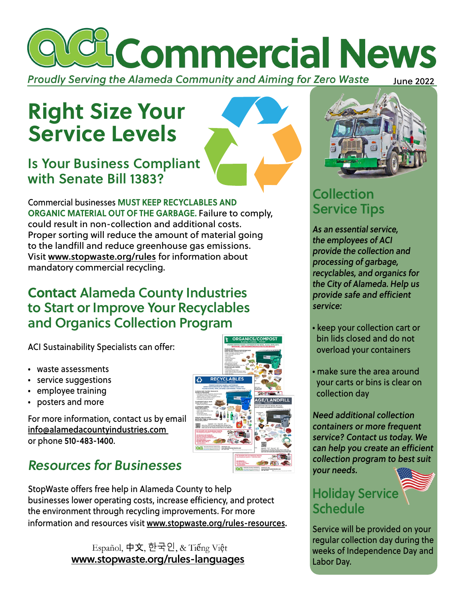# **Commercial News Proudly Serving the Alameda Community and Aiming for Zero Waste** June 2022

# **Right Size Your Service Levels**

### Is Your Business Compliant with Senate Bill 1383?

Commercial businesses **MUST KEEP RECYCLABLES AND ORGANIC MATERIAL OUT OF THE GARBAGE.** Failure to comply, could result in non-collection and additional costs. Proper sorting will reduce the amount of material going to the landfill and reduce greenhouse gas emissions. Visit www.stopwaste.org/rules for information about mandatory commercial recycling.

## **Contact** Alameda County Industries to Start or Improve Your Recyclables and Organics Collection Program

ACI Sustainability Specialists can offer:

- waste assessments
- service suggestions
- employee training
- posters and more

For more information, contact us by email info@alamedacountyindustries.com or phone 510-483-1400.

# Resources for Businesses

StopWaste offers free help in Alameda County to help businesses lower operating costs, increase efficiency, and protect the environment through recycling improvements. For more information and resources visit www.stopwaste.org/rules-resources.

> Español, 中文, 한국인, & Tiếng Việt www.stopwaste.org/rules-languages





# Collection Service Tips

As an essential service, the employees of ACI provide the collection and processing of garbage, recyclables, and organics for the City of Alameda. Help us provide safe and efficient service:

- keep your collection cart or bin lids closed and do not overload your containers
- make sure the area around your carts or bins is clear on collection day

Need additional collection containers or more frequent service? Contact us today. We can help you create an efficient collection program to best suit your needs.

# Holiday Service **Schedule**

Service will be provided on your regular collection day during the weeks of Independence Day and Labor Day.